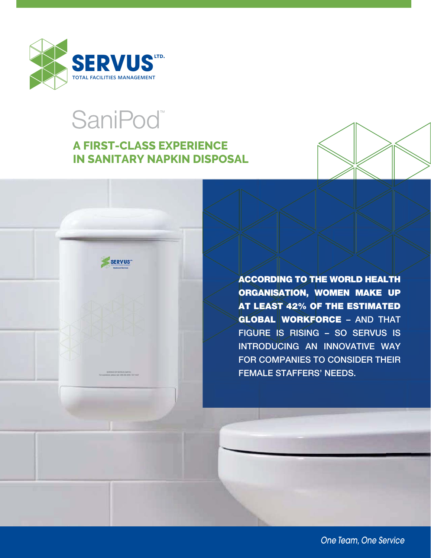

# SaniPod<sup>®</sup>

**SERVUS** 

## **A FIRST-CLASS EXPERIENCE IN SANITARY NAPKIN DISPOSAL**



**ACCORDING TO THE WORLD HEALTH ORGANISATION, WOMEN MAKE UP AT LEAST 42% OF THE ESTIMATED GLOBAL WORKFORCE – AND THAT FIGURE IS RISING – SO SERVUS IS INTRODUCING AN INNOVATIVE WAY FOR COMPANIES TO CONSIDER THEIR FEMALE STAFFERS' NEEDS.**

*One Team, One Service*